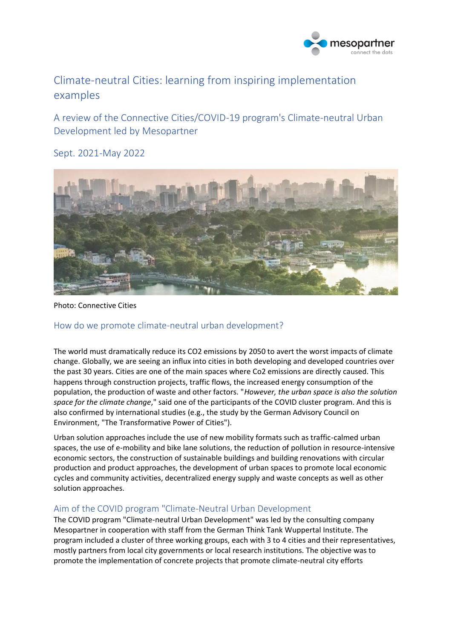

# Climate-neutral Cities: learning from inspiring implementation examples

A review of the Connective Cities/COVID-19 program's Climate-neutral Urban Development led by Mesopartner

Sept. 2021-May 2022



Photo: Connective Cities

# How do we promote climate-neutral urban development?

The world must dramatically reduce its CO2 emissions by 2050 to avert the worst impacts of climate change. Globally, we are seeing an influx into cities in both developing and developed countries over the past 30 years. Cities are one of the main spaces where Co2 emissions are directly caused. This happens through construction projects, traffic flows, the increased energy consumption of the population, the production of waste and other factors. "*However, the urban space is also the solution space for the climate change*," said one of the participants of the COVID cluster program. And this is also confirmed by international studies (e.g., the study by the German Advisory Council on Environment, "The Transformative Power of Cities").

Urban solution approaches include the use of new mobility formats such as traffic-calmed urban spaces, the use of e-mobility and bike lane solutions, the reduction of pollution in resource-intensive economic sectors, the construction of sustainable buildings and building renovations with circular production and product approaches, the development of urban spaces to promote local economic cycles and community activities, decentralized energy supply and waste concepts as well as other solution approaches.

## Aim of the COVID program "Climate-Neutral Urban Development

The COVID program "Climate-neutral Urban Development" was led by the consulting company Mesopartner in cooperation with staff from the German Think Tank Wuppertal Institute. The program included a cluster of three working groups, each with 3 to 4 cities and their representatives, mostly partners from local city governments or local research institutions. The objective was to promote the implementation of concrete projects that promote climate-neutral city efforts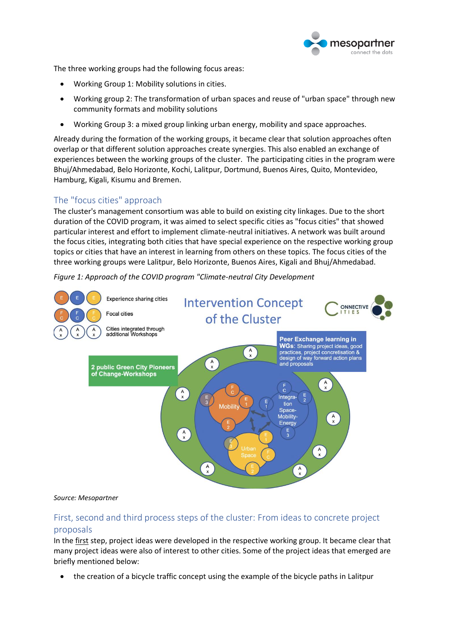

The three working groups had the following focus areas:

- Working Group 1: Mobility solutions in cities.
- Working group 2: The transformation of urban spaces and reuse of "urban space" through new community formats and mobility solutions
- Working Group 3: a mixed group linking urban energy, mobility and space approaches.

Already during the formation of the working groups, it became clear that solution approaches often overlap or that different solution approaches create synergies. This also enabled an exchange of experiences between the working groups of the cluster. The participating cities in the program were Bhuj/Ahmedabad, Belo Horizonte, Kochi, Lalitpur, Dortmund, Buenos Aires, Quito, Montevideo, Hamburg, Kigali, Kisumu and Bremen.

# The "focus cities" approach

The cluster's management consortium was able to build on existing city linkages. Due to the short duration of the COVID program, it was aimed to select specific cities as "focus cities" that showed particular interest and effort to implement climate-neutral initiatives. A network was built around the focus cities, integrating both cities that have special experience on the respective working group topics or cities that have an interest in learning from others on these topics. The focus cities of the three working groups were Lalitpur, Belo Horizonte, Buenos Aires, Kigali and Bhuj/Ahmedabad.

*Figure 1: Approach of the COVID program "Climate-neutral City Development*



## *Source: Mesopartner*

# First, second and third process steps of the cluster: From ideas to concrete project proposals

In the first step, project ideas were developed in the respective working group. It became clear that many project ideas were also of interest to other cities. Some of the project ideas that emerged are briefly mentioned below:

• the creation of a bicycle traffic concept using the example of the bicycle paths in Lalitpur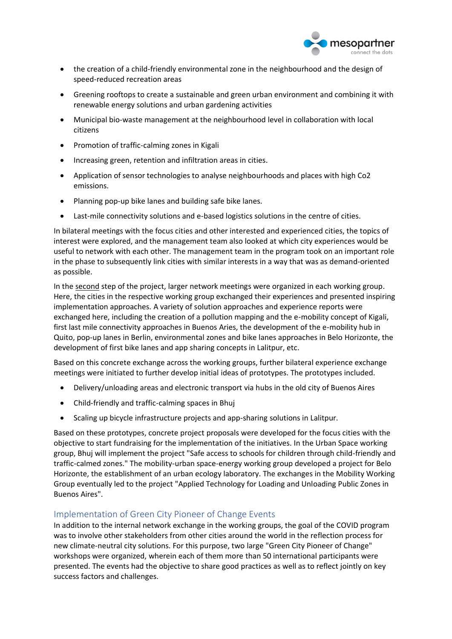

- the creation of a child-friendly environmental zone in the neighbourhood and the design of speed-reduced recreation areas
- Greening rooftops to create a sustainable and green urban environment and combining it with renewable energy solutions and urban gardening activities
- Municipal bio-waste management at the neighbourhood level in collaboration with local citizens
- Promotion of traffic-calming zones in Kigali
- Increasing green, retention and infiltration areas in cities.
- Application of sensor technologies to analyse neighbourhoods and places with high Co2 emissions.
- Planning pop-up bike lanes and building safe bike lanes.
- Last-mile connectivity solutions and e-based logistics solutions in the centre of cities.

In bilateral meetings with the focus cities and other interested and experienced cities, the topics of interest were explored, and the management team also looked at which city experiences would be useful to network with each other. The management team in the program took on an important role in the phase to subsequently link cities with similar interests in a way that was as demand-oriented as possible.

In the second step of the project, larger network meetings were organized in each working group. Here, the cities in the respective working group exchanged their experiences and presented inspiring implementation approaches. A variety of solution approaches and experience reports were exchanged here, including the creation of a pollution mapping and the e-mobility concept of Kigali, first last mile connectivity approaches in Buenos Aries, the development of the e-mobility hub in Quito, pop-up lanes in Berlin, environmental zones and bike lanes approaches in Belo Horizonte, the development of first bike lanes and app sharing concepts in Lalitpur, etc.

Based on this concrete exchange across the working groups, further bilateral experience exchange meetings were initiated to further develop initial ideas of prototypes. The prototypes included.

- Delivery/unloading areas and electronic transport via hubs in the old city of Buenos Aires
- Child-friendly and traffic-calming spaces in Bhuj
- Scaling up bicycle infrastructure projects and app-sharing solutions in Lalitpur.

Based on these prototypes, concrete project proposals were developed for the focus cities with the objective to start fundraising for the implementation of the initiatives. In the Urban Space working group, Bhuj will implement the project "Safe access to schools for children through child-friendly and traffic-calmed zones." The mobility-urban space-energy working group developed a project for Belo Horizonte, the establishment of an urban ecology laboratory. The exchanges in the Mobility Working Group eventually led to the project "Applied Technology for Loading and Unloading Public Zones in Buenos Aires".

# Implementation of Green City Pioneer of Change Events

In addition to the internal network exchange in the working groups, the goal of the COVID program was to involve other stakeholders from other cities around the world in the reflection process for new climate-neutral city solutions. For this purpose, two large "Green City Pioneer of Change" workshops were organized, wherein each of them more than 50 international participants were presented. The events had the objective to share good practices as well as to reflect jointly on key success factors and challenges.